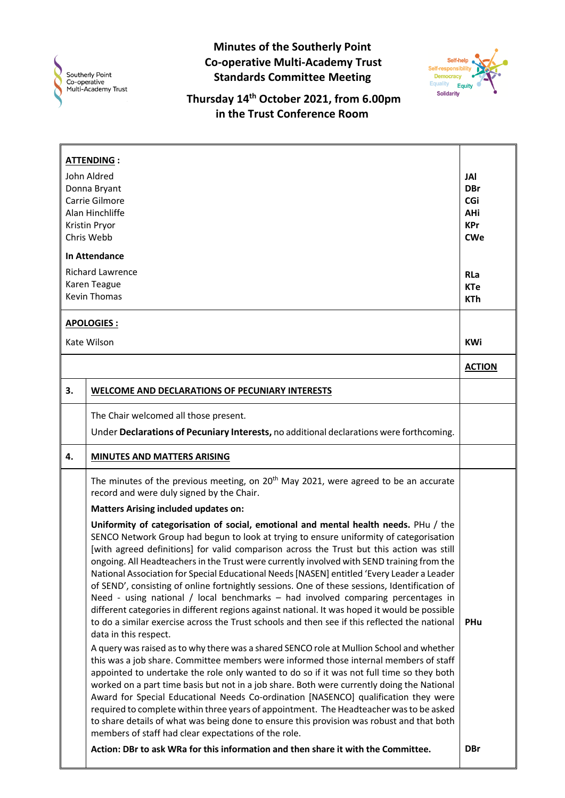

**Minutes of the Southerly Point Co-operative Multi-Academy Trust Standards Committee Meeting**



**Thursday 14th October 2021, from 6.00pm in the Trust Conference Room**

| <b>ATTENDING:</b><br>John Aldred<br>Donna Bryant<br>Carrie Gilmore<br>Alan Hinchliffe<br>Kristin Pryor<br>Chris Webb<br>In Attendance<br><b>Richard Lawrence</b><br>Karen Teague<br><b>Kevin Thomas</b> |                                                                                                                                                                                                                                                                                                                                                                                                                                                                                                                                                                                                                                                                                                                                                                                                                                                                                                                                                                                                                                                                                                                                                                                                                                                                                                                                                                                                                                                                                                                                                                                                                                                               | <b>JAI</b><br><b>DBr</b><br>CGi<br>AHi<br><b>KPr</b><br><b>CWe</b><br><b>RLa</b><br><b>KTe</b><br><b>KTh</b> |
|---------------------------------------------------------------------------------------------------------------------------------------------------------------------------------------------------------|---------------------------------------------------------------------------------------------------------------------------------------------------------------------------------------------------------------------------------------------------------------------------------------------------------------------------------------------------------------------------------------------------------------------------------------------------------------------------------------------------------------------------------------------------------------------------------------------------------------------------------------------------------------------------------------------------------------------------------------------------------------------------------------------------------------------------------------------------------------------------------------------------------------------------------------------------------------------------------------------------------------------------------------------------------------------------------------------------------------------------------------------------------------------------------------------------------------------------------------------------------------------------------------------------------------------------------------------------------------------------------------------------------------------------------------------------------------------------------------------------------------------------------------------------------------------------------------------------------------------------------------------------------------|--------------------------------------------------------------------------------------------------------------|
| <b>APOLOGIES:</b><br>Kate Wilson                                                                                                                                                                        |                                                                                                                                                                                                                                                                                                                                                                                                                                                                                                                                                                                                                                                                                                                                                                                                                                                                                                                                                                                                                                                                                                                                                                                                                                                                                                                                                                                                                                                                                                                                                                                                                                                               | <b>KWi</b>                                                                                                   |
|                                                                                                                                                                                                         |                                                                                                                                                                                                                                                                                                                                                                                                                                                                                                                                                                                                                                                                                                                                                                                                                                                                                                                                                                                                                                                                                                                                                                                                                                                                                                                                                                                                                                                                                                                                                                                                                                                               | <b>ACTION</b>                                                                                                |
| 3.                                                                                                                                                                                                      | WELCOME AND DECLARATIONS OF PECUNIARY INTERESTS                                                                                                                                                                                                                                                                                                                                                                                                                                                                                                                                                                                                                                                                                                                                                                                                                                                                                                                                                                                                                                                                                                                                                                                                                                                                                                                                                                                                                                                                                                                                                                                                               |                                                                                                              |
|                                                                                                                                                                                                         | The Chair welcomed all those present.<br>Under Declarations of Pecuniary Interests, no additional declarations were forthcoming.                                                                                                                                                                                                                                                                                                                                                                                                                                                                                                                                                                                                                                                                                                                                                                                                                                                                                                                                                                                                                                                                                                                                                                                                                                                                                                                                                                                                                                                                                                                              |                                                                                                              |
| 4.                                                                                                                                                                                                      | MINUTES AND MATTERS ARISING                                                                                                                                                                                                                                                                                                                                                                                                                                                                                                                                                                                                                                                                                                                                                                                                                                                                                                                                                                                                                                                                                                                                                                                                                                                                                                                                                                                                                                                                                                                                                                                                                                   |                                                                                                              |
|                                                                                                                                                                                                         | The minutes of the previous meeting, on $20th$ May 2021, were agreed to be an accurate<br>record and were duly signed by the Chair.                                                                                                                                                                                                                                                                                                                                                                                                                                                                                                                                                                                                                                                                                                                                                                                                                                                                                                                                                                                                                                                                                                                                                                                                                                                                                                                                                                                                                                                                                                                           |                                                                                                              |
|                                                                                                                                                                                                         | <b>Matters Arising included updates on:</b><br>Uniformity of categorisation of social, emotional and mental health needs. PHu / the<br>SENCO Network Group had begun to look at trying to ensure uniformity of categorisation<br>[with agreed definitions] for valid comparison across the Trust but this action was still<br>ongoing. All Headteachers in the Trust were currently involved with SEND training from the<br>National Association for Special Educational Needs [NASEN] entitled 'Every Leader a Leader<br>of SEND', consisting of online fortnightly sessions. One of these sessions, Identification of<br>Need - using national / local benchmarks - had involved comparing percentages in<br>different categories in different regions against national. It was hoped it would be possible<br>to do a similar exercise across the Trust schools and then see if this reflected the national<br>data in this respect.<br>A query was raised as to why there was a shared SENCO role at Mullion School and whether<br>this was a job share. Committee members were informed those internal members of staff<br>appointed to undertake the role only wanted to do so if it was not full time so they both<br>worked on a part time basis but not in a job share. Both were currently doing the National<br>Award for Special Educational Needs Co-ordination [NASENCO] qualification they were<br>required to complete within three years of appointment. The Headteacher was to be asked<br>to share details of what was being done to ensure this provision was robust and that both<br>members of staff had clear expectations of the role. | <b>PHu</b>                                                                                                   |
|                                                                                                                                                                                                         | Action: DBr to ask WRa for this information and then share it with the Committee.                                                                                                                                                                                                                                                                                                                                                                                                                                                                                                                                                                                                                                                                                                                                                                                                                                                                                                                                                                                                                                                                                                                                                                                                                                                                                                                                                                                                                                                                                                                                                                             | <b>DBr</b>                                                                                                   |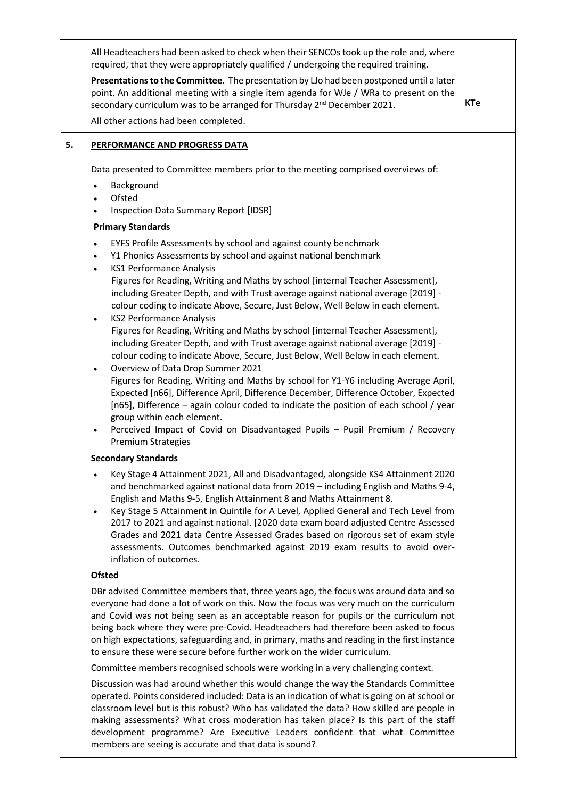|    | All Headteachers had been asked to check when their SENCOs took up the role and, where<br>required, that they were appropriately qualified / undergoing the required training.                                                                                                                                                                                                                                                                                                                                                                                                                                                                                                                                                                                                       |            |
|----|--------------------------------------------------------------------------------------------------------------------------------------------------------------------------------------------------------------------------------------------------------------------------------------------------------------------------------------------------------------------------------------------------------------------------------------------------------------------------------------------------------------------------------------------------------------------------------------------------------------------------------------------------------------------------------------------------------------------------------------------------------------------------------------|------------|
|    | Presentations to the Committee. The presentation by LJo had been postponed until a later<br>point. An additional meeting with a single item agenda for WJe / WRa to present on the<br>secondary curriculum was to be arranged for Thursday 2 <sup>nd</sup> December 2021.                                                                                                                                                                                                                                                                                                                                                                                                                                                                                                            | <b>KTe</b> |
|    | All other actions had been completed.                                                                                                                                                                                                                                                                                                                                                                                                                                                                                                                                                                                                                                                                                                                                                |            |
| 5. | PERFORMANCE AND PROGRESS DATA                                                                                                                                                                                                                                                                                                                                                                                                                                                                                                                                                                                                                                                                                                                                                        |            |
|    | Data presented to Committee members prior to the meeting comprised overviews of:<br>Background<br>$\bullet$<br>Ofsted<br>$\bullet$<br><b>Inspection Data Summary Report [IDSR]</b>                                                                                                                                                                                                                                                                                                                                                                                                                                                                                                                                                                                                   |            |
|    | <b>Primary Standards</b>                                                                                                                                                                                                                                                                                                                                                                                                                                                                                                                                                                                                                                                                                                                                                             |            |
|    | EYFS Profile Assessments by school and against county benchmark<br>$\bullet$<br>Y1 Phonics Assessments by school and against national benchmark<br>$\bullet$<br><b>KS1 Performance Analysis</b><br>$\bullet$<br>Figures for Reading, Writing and Maths by school [internal Teacher Assessment],<br>including Greater Depth, and with Trust average against national average [2019] -<br>colour coding to indicate Above, Secure, Just Below, Well Below in each element.<br><b>KS2 Performance Analysis</b><br>$\bullet$<br>Figures for Reading, Writing and Maths by school [internal Teacher Assessment],<br>including Greater Depth, and with Trust average against national average [2019] -<br>colour coding to indicate Above, Secure, Just Below, Well Below in each element. |            |
|    | Overview of Data Drop Summer 2021<br>$\bullet$<br>Figures for Reading, Writing and Maths by school for Y1-Y6 including Average April,<br>Expected [n66], Difference April, Difference December, Difference October, Expected<br>[n65], Difference - again colour coded to indicate the position of each school / year<br>group within each element.<br>Perceived Impact of Covid on Disadvantaged Pupils - Pupil Premium / Recovery<br><b>Premium Strategies</b>                                                                                                                                                                                                                                                                                                                     |            |
|    | <b>Secondary Standards</b>                                                                                                                                                                                                                                                                                                                                                                                                                                                                                                                                                                                                                                                                                                                                                           |            |
|    | Key Stage 4 Attainment 2021, All and Disadvantaged, alongside KS4 Attainment 2020<br>and benchmarked against national data from 2019 - including English and Maths 9-4,<br>English and Maths 9-5, English Attainment 8 and Maths Attainment 8.<br>Key Stage 5 Attainment in Quintile for A Level, Applied General and Tech Level from<br>$\bullet$<br>2017 to 2021 and against national. [2020 data exam board adjusted Centre Assessed<br>Grades and 2021 data Centre Assessed Grades based on rigorous set of exam style<br>assessments. Outcomes benchmarked against 2019 exam results to avoid over-<br>inflation of outcomes.                                                                                                                                                   |            |
|    | <b>Ofsted</b>                                                                                                                                                                                                                                                                                                                                                                                                                                                                                                                                                                                                                                                                                                                                                                        |            |
|    | DBr advised Committee members that, three years ago, the focus was around data and so<br>everyone had done a lot of work on this. Now the focus was very much on the curriculum<br>and Covid was not being seen as an acceptable reason for pupils or the curriculum not<br>being back where they were pre-Covid. Headteachers had therefore been asked to focus<br>on high expectations, safeguarding and, in primary, maths and reading in the first instance<br>to ensure these were secure before further work on the wider curriculum.                                                                                                                                                                                                                                          |            |
|    | Committee members recognised schools were working in a very challenging context.                                                                                                                                                                                                                                                                                                                                                                                                                                                                                                                                                                                                                                                                                                     |            |
|    | Discussion was had around whether this would change the way the Standards Committee<br>operated. Points considered included: Data is an indication of what is going on at school or<br>classroom level but is this robust? Who has validated the data? How skilled are people in                                                                                                                                                                                                                                                                                                                                                                                                                                                                                                     |            |

fobust? Who has validated the data? How skilled are people making assessments? What cross moderation has taken place? Is this part of the staff development programme? Are Executive Leaders confident that what Committee members are seeing is accurate and that data is sound?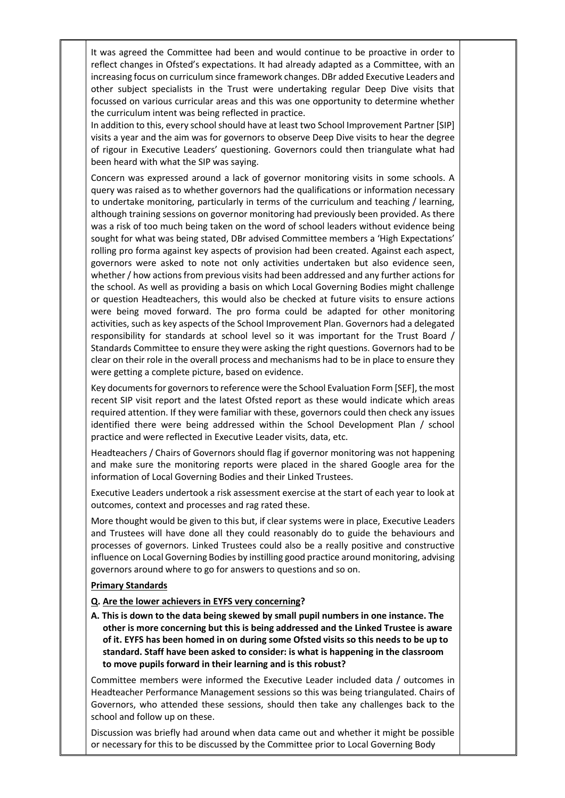It was agreed the Committee had been and would continue to be proactive in order to reflect changes in Ofsted's expectations. It had already adapted as a Committee, with an increasing focus on curriculum since framework changes. DBr added Executive Leaders and other subject specialists in the Trust were undertaking regular Deep Dive visits that focussed on various curricular areas and this was one opportunity to determine whether the curriculum intent was being reflected in practice.

In addition to this, every school should have at least two School Improvement Partner [SIP] visits a year and the aim was for governors to observe Deep Dive visits to hear the degree of rigour in Executive Leaders' questioning. Governors could then triangulate what had been heard with what the SIP was saying.

Concern was expressed around a lack of governor monitoring visits in some schools. A query was raised as to whether governors had the qualifications or information necessary to undertake monitoring, particularly in terms of the curriculum and teaching / learning, although training sessions on governor monitoring had previously been provided. As there was a risk of too much being taken on the word of school leaders without evidence being sought for what was being stated, DBr advised Committee members a 'High Expectations' rolling pro forma against key aspects of provision had been created. Against each aspect, governors were asked to note not only activities undertaken but also evidence seen, whether / how actions from previous visits had been addressed and any further actions for the school. As well as providing a basis on which Local Governing Bodies might challenge or question Headteachers, this would also be checked at future visits to ensure actions were being moved forward. The pro forma could be adapted for other monitoring activities, such as key aspects of the School Improvement Plan. Governors had a delegated responsibility for standards at school level so it was important for the Trust Board / Standards Committee to ensure they were asking the right questions. Governors had to be clear on their role in the overall process and mechanisms had to be in place to ensure they were getting a complete picture, based on evidence.

Key documents for governors to reference were the School Evaluation Form [SEF], the most recent SIP visit report and the latest Ofsted report as these would indicate which areas required attention. If they were familiar with these, governors could then check any issues identified there were being addressed within the School Development Plan / school practice and were reflected in Executive Leader visits, data, etc.

Headteachers / Chairs of Governors should flag if governor monitoring was not happening and make sure the monitoring reports were placed in the shared Google area for the information of Local Governing Bodies and their Linked Trustees.

Executive Leaders undertook a risk assessment exercise at the start of each year to look at outcomes, context and processes and rag rated these.

More thought would be given to this but, if clear systems were in place, Executive Leaders and Trustees will have done all they could reasonably do to guide the behaviours and processes of governors. Linked Trustees could also be a really positive and constructive influence on Local Governing Bodies by instilling good practice around monitoring, advising governors around where to go for answers to questions and so on.

#### **Primary Standards**

#### **Q. Are the lower achievers in EYFS very concerning?**

**A. This is down to the data being skewed by small pupil numbers in one instance. The other is more concerning but this is being addressed and the Linked Trustee is aware of it. EYFS has been homed in on during some Ofsted visits so this needs to be up to standard. Staff have been asked to consider: is what is happening in the classroom to move pupils forward in their learning and is this robust?**

Committee members were informed the Executive Leader included data / outcomes in Headteacher Performance Management sessions so this was being triangulated. Chairs of Governors, who attended these sessions, should then take any challenges back to the school and follow up on these.

Discussion was briefly had around when data came out and whether it might be possible or necessary for this to be discussed by the Committee prior to Local Governing Body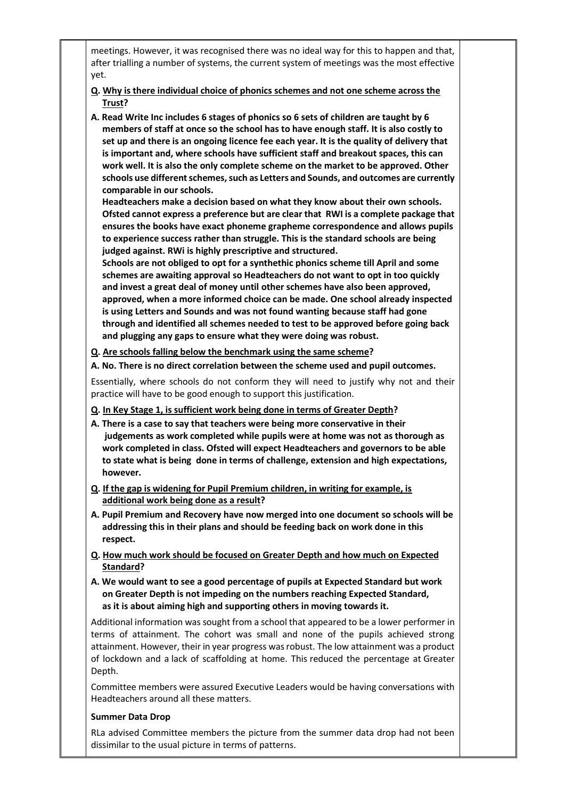meetings. However, it was recognised there was no ideal way for this to happen and that, after trialling a number of systems, the current system of meetings was the most effective yet.

- **Q. Why is there individual choice of phonics schemes and not one scheme across the Trust?**
- **A. Read Write Inc includes 6 stages of phonics so 6 sets of children are taught by 6 members of staff at once so the school has to have enough staff. It is also costly to set up and there is an ongoing licence fee each year. It is the quality of delivery that is important and, where schools have sufficient staff and breakout spaces, this can work well. It is also the only complete scheme on the market to be approved. Other schools use different schemes, such as Letters and Sounds, and outcomes are currently comparable in our schools.**

 **Headteachers make a decision based on what they know about their own schools. Ofsted cannot express a preference but are clear that RWI is a complete package that ensures the books have exact phoneme grapheme correspondence and allows pupils to experience success rather than struggle. This is the standard schools are being judged against. RWi is highly prescriptive and structured.**

 **Schools are not obliged to opt for a synthethic phonics scheme till April and some schemes are awaiting approval so Headteachers do not want to opt in too quickly and invest a great deal of money until other schemes have also been approved, approved, when a more informed choice can be made. One school already inspected is using Letters and Sounds and was not found wanting because staff had gone through and identified all schemes needed to test to be approved before going back and plugging any gaps to ensure what they were doing was robust.** 

- **Q. Are schools falling below the benchmark using the same scheme?**
- **A. No. There is no direct correlation between the scheme used and pupil outcomes.**

Essentially, where schools do not conform they will need to justify why not and their practice will have to be good enough to support this justification.

- **Q. In Key Stage 1, is sufficient work being done in terms of Greater Depth?**
- **A. There is a case to say that teachers were being more conservative in their judgements as work completed while pupils were at home was not as thorough as work completed in class. Ofsted will expect Headteachers and governors to be able to state what is being done in terms of challenge, extension and high expectations, however.**
- **Q. If the gap is widening for Pupil Premium children, in writing for example, is additional work being done as a result?**
- **A. Pupil Premium and Recovery have now merged into one document so schools will be addressing this in their plans and should be feeding back on work done in this respect.**
- **Q. How much work should be focused on Greater Depth and how much on Expected Standard?**
- **A. We would want to see a good percentage of pupils at Expected Standard but work on Greater Depth is not impeding on the numbers reaching Expected Standard, as it is about aiming high and supporting others in moving towards it.**

Additional information was sought from a school that appeared to be a lower performer in terms of attainment. The cohort was small and none of the pupils achieved strong attainment. However, their in year progress was robust. The low attainment was a product of lockdown and a lack of scaffolding at home. This reduced the percentage at Greater Depth.

Committee members were assured Executive Leaders would be having conversations with Headteachers around all these matters.

# **Summer Data Drop**

RLa advised Committee members the picture from the summer data drop had not been dissimilar to the usual picture in terms of patterns.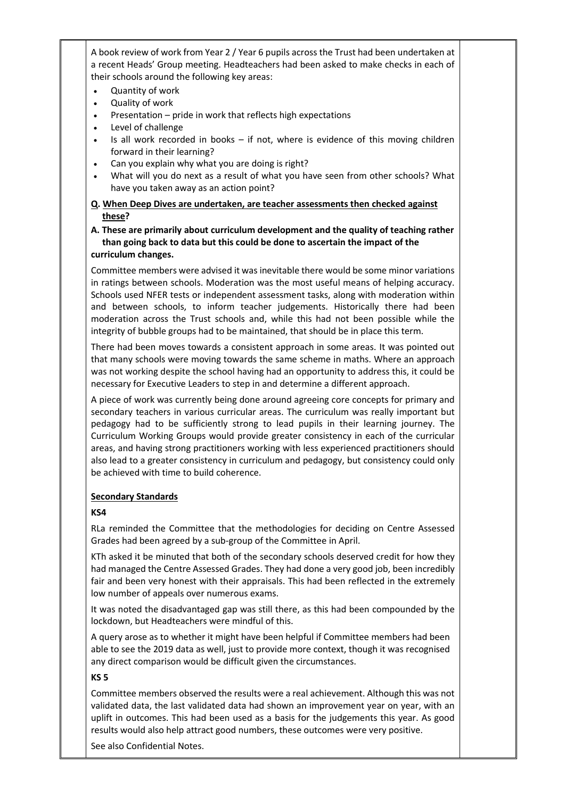A book review of work from Year 2 / Year 6 pupils across the Trust had been undertaken at a recent Heads' Group meeting. Headteachers had been asked to make checks in each of their schools around the following key areas:

- Quantity of work
- Quality of work
- Presentation pride in work that reflects high expectations
- Level of challenge
- Is all work recorded in books if not, where is evidence of this moving children forward in their learning?
- Can you explain why what you are doing is right?
- What will you do next as a result of what you have seen from other schools? What have you taken away as an action point?
- **Q. When Deep Dives are undertaken, are teacher assessments then checked against these?**

### **A. These are primarily about curriculum development and the quality of teaching rather than going back to data but this could be done to ascertain the impact of the curriculum changes.**

Committee members were advised it was inevitable there would be some minor variations in ratings between schools. Moderation was the most useful means of helping accuracy. Schools used NFER tests or independent assessment tasks, along with moderation within and between schools, to inform teacher judgements. Historically there had been moderation across the Trust schools and, while this had not been possible while the integrity of bubble groups had to be maintained, that should be in place this term.

There had been moves towards a consistent approach in some areas. It was pointed out that many schools were moving towards the same scheme in maths. Where an approach was not working despite the school having had an opportunity to address this, it could be necessary for Executive Leaders to step in and determine a different approach.

A piece of work was currently being done around agreeing core concepts for primary and secondary teachers in various curricular areas. The curriculum was really important but pedagogy had to be sufficiently strong to lead pupils in their learning journey. The Curriculum Working Groups would provide greater consistency in each of the curricular areas, and having strong practitioners working with less experienced practitioners should also lead to a greater consistency in curriculum and pedagogy, but consistency could only be achieved with time to build coherence.

# **Secondary Standards**

# **KS4**

RLa reminded the Committee that the methodologies for deciding on Centre Assessed Grades had been agreed by a sub-group of the Committee in April.

KTh asked it be minuted that both of the secondary schools deserved credit for how they had managed the Centre Assessed Grades. They had done a very good job, been incredibly fair and been very honest with their appraisals. This had been reflected in the extremely low number of appeals over numerous exams.

It was noted the disadvantaged gap was still there, as this had been compounded by the lockdown, but Headteachers were mindful of this.

A query arose as to whether it might have been helpful if Committee members had been able to see the 2019 data as well, just to provide more context, though it was recognised any direct comparison would be difficult given the circumstances.

#### **KS 5**

Committee members observed the results were a real achievement. Although this was not validated data, the last validated data had shown an improvement year on year, with an uplift in outcomes. This had been used as a basis for the judgements this year. As good results would also help attract good numbers, these outcomes were very positive.

See also Confidential Notes.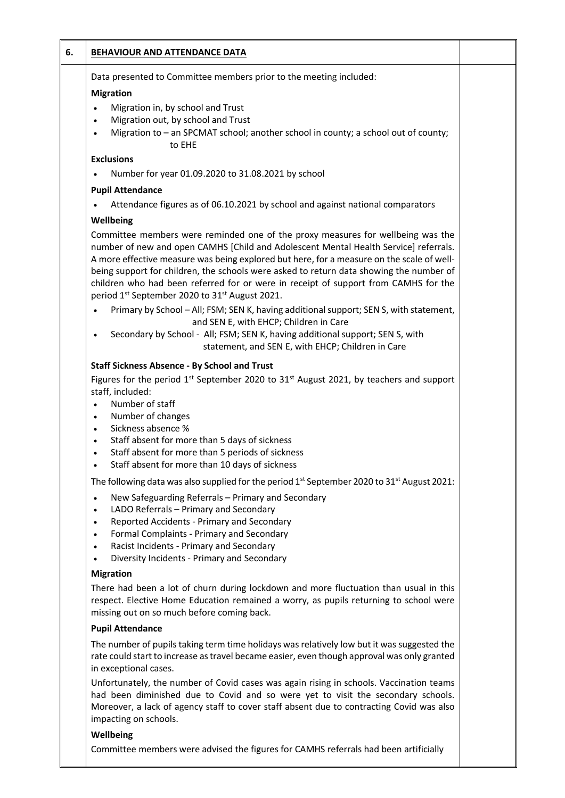| 6. | <b>BEHAVIOUR AND ATTENDANCE DATA</b>                                                                                                                                                                                                                                                                                                                                                                                                                                                                                             |  |
|----|----------------------------------------------------------------------------------------------------------------------------------------------------------------------------------------------------------------------------------------------------------------------------------------------------------------------------------------------------------------------------------------------------------------------------------------------------------------------------------------------------------------------------------|--|
|    | Data presented to Committee members prior to the meeting included:                                                                                                                                                                                                                                                                                                                                                                                                                                                               |  |
|    | <b>Migration</b>                                                                                                                                                                                                                                                                                                                                                                                                                                                                                                                 |  |
|    | Migration in, by school and Trust<br>Migration out, by school and Trust<br>$\bullet$<br>Migration to - an SPCMAT school; another school in county; a school out of county;<br>$\bullet$<br>to EHE                                                                                                                                                                                                                                                                                                                                |  |
|    | <b>Exclusions</b>                                                                                                                                                                                                                                                                                                                                                                                                                                                                                                                |  |
|    | Number for year 01.09.2020 to 31.08.2021 by school                                                                                                                                                                                                                                                                                                                                                                                                                                                                               |  |
|    | <b>Pupil Attendance</b>                                                                                                                                                                                                                                                                                                                                                                                                                                                                                                          |  |
|    | Attendance figures as of 06.10.2021 by school and against national comparators                                                                                                                                                                                                                                                                                                                                                                                                                                                   |  |
|    | Wellbeing                                                                                                                                                                                                                                                                                                                                                                                                                                                                                                                        |  |
|    | Committee members were reminded one of the proxy measures for wellbeing was the<br>number of new and open CAMHS [Child and Adolescent Mental Health Service] referrals.<br>A more effective measure was being explored but here, for a measure on the scale of well-<br>being support for children, the schools were asked to return data showing the number of<br>children who had been referred for or were in receipt of support from CAMHS for the<br>period 1 <sup>st</sup> September 2020 to 31 <sup>st</sup> August 2021. |  |
|    | Primary by School - All; FSM; SEN K, having additional support; SEN S, with statement,<br>and SEN E, with EHCP; Children in Care<br>Secondary by School - All; FSM; SEN K, having additional support; SEN S, with<br>statement, and SEN E, with EHCP; Children in Care                                                                                                                                                                                                                                                           |  |
|    | staff, included:<br>Number of staff<br>$\bullet$<br>Number of changes<br>$\bullet$<br>Sickness absence %<br>$\bullet$<br>Staff absent for more than 5 days of sickness<br>$\bullet$<br>Staff absent for more than 5 periods of sickness<br>$\bullet$<br>Staff absent for more than 10 days of sickness                                                                                                                                                                                                                           |  |
|    | The following data was also supplied for the period $1^{st}$ September 2020 to 31st August 2021:                                                                                                                                                                                                                                                                                                                                                                                                                                 |  |
|    | New Safeguarding Referrals - Primary and Secondary<br>$\bullet$<br>LADO Referrals - Primary and Secondary<br>$\bullet$<br>Reported Accidents - Primary and Secondary<br>$\bullet$<br>Formal Complaints - Primary and Secondary<br>$\bullet$<br>Racist Incidents - Primary and Secondary<br>$\bullet$<br>Diversity Incidents - Primary and Secondary<br>$\bullet$                                                                                                                                                                 |  |
|    | <b>Migration</b>                                                                                                                                                                                                                                                                                                                                                                                                                                                                                                                 |  |
|    | There had been a lot of churn during lockdown and more fluctuation than usual in this<br>respect. Elective Home Education remained a worry, as pupils returning to school were<br>missing out on so much before coming back.                                                                                                                                                                                                                                                                                                     |  |
|    | <b>Pupil Attendance</b>                                                                                                                                                                                                                                                                                                                                                                                                                                                                                                          |  |
|    | The number of pupils taking term time holidays was relatively low but it was suggested the<br>rate could start to increase as travel became easier, even though approval was only granted<br>in exceptional cases.                                                                                                                                                                                                                                                                                                               |  |
|    | Unfortunately, the number of Covid cases was again rising in schools. Vaccination teams<br>had been diminished due to Covid and so were yet to visit the secondary schools.<br>Moreover, a lack of agency staff to cover staff absent due to contracting Covid was also<br>impacting on schools.                                                                                                                                                                                                                                 |  |

# **Wellbeing**

Committee members were advised the figures for CAMHS referrals had been artificially